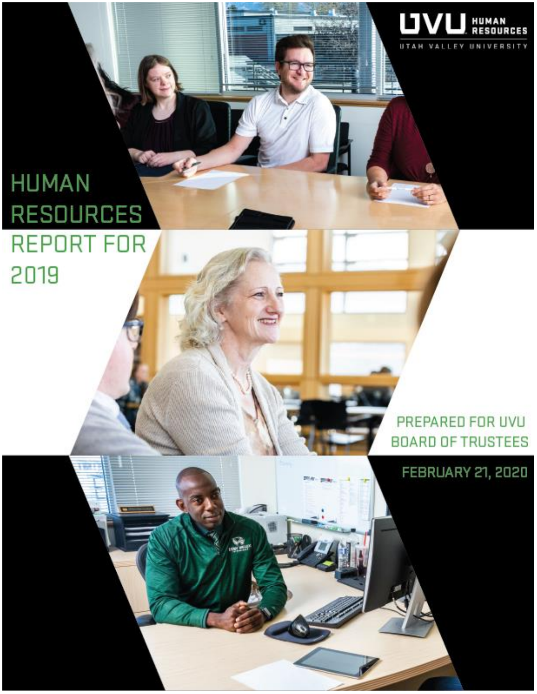

PREPARED FOR UVU **BOARD OF TRUSTEES** 

UVl

**HUMAN**<br>RESOUR

LEY UNIVERSITY

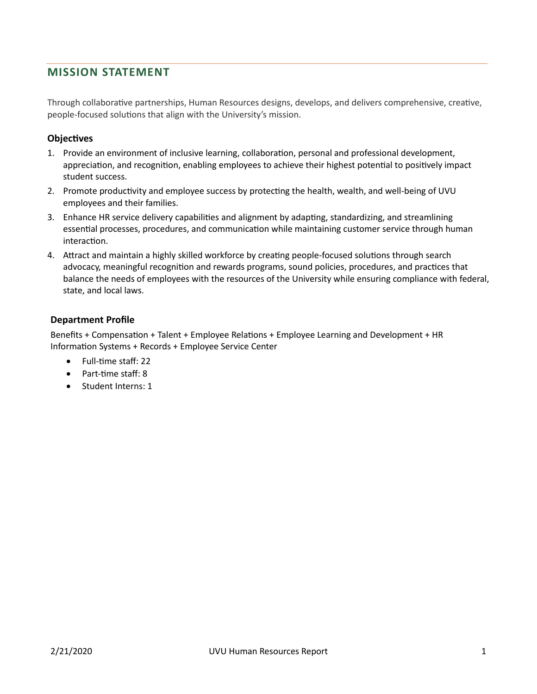## **MISSION STATEMENT**

Through collaborative partnerships, Human Resources designs, develops, and delivers comprehensive, creative, people-focused solutions that align with the University's mission.

#### **Objectives**

- 1. Provide an environment of inclusive learning, collaboration, personal and professional development, appreciation, and recognition, enabling employees to achieve their highest potential to positively impact student success.
- 2. Promote productivity and employee success by protecting the health, wealth, and well-being of UVU employees and their families.
- 3. Enhance HR service delivery capabilities and alignment by adapting, standardizing, and streamlining essential processes, procedures, and communication while maintaining customer service through human interaction.
- 4. Attract and maintain a highly skilled workforce by creating people-focused solutions through search advocacy, meaningful recognition and rewards programs, sound policies, procedures, and practices that balance the needs of employees with the resources of the University while ensuring compliance with federal, state, and local laws.

#### **Department Profile**

Benefits + Compensation + Talent + Employee Relations + Employee Learning and Development + HR Information Systems + Records + Employee Service Center

- Full-time staff: 22
- Part-time staff: 8
- Student Interns: 1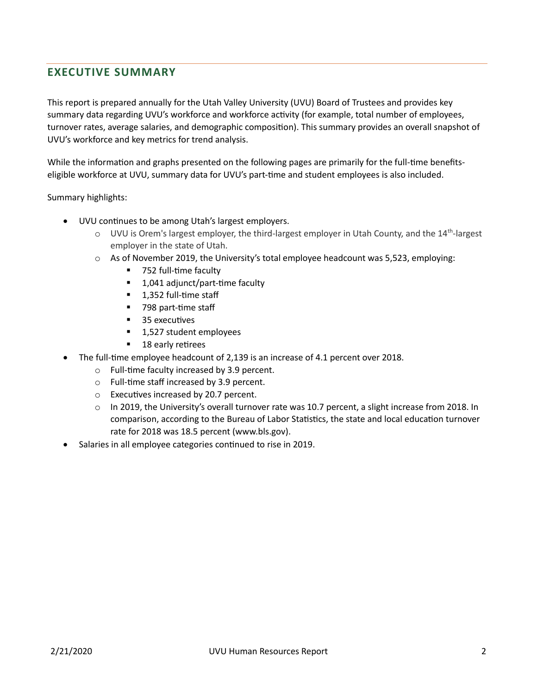# **EXECUTIVE SUMMARY**

This report is prepared annually for the Utah Valley University (UVU) Board of Trustees and provides key summary data regarding UVU's workforce and workforce activity (for example, total number of employees, turnover rates, average salaries, and demographic composition). This summary provides an overall snapshot of UVU's workforce and key metrics for trend analysis.

While the information and graphs presented on the following pages are primarily for the full-time benefitseligible workforce at UVU, summary data for UVU's part-time and student employees is also included.

Summary highlights:

- UVU continues to be among Utah's largest employers.
	- UVU is Orem's largest employer, the third-largest employer in Utah County, and the 14<sup>th</sup>-largest employer in the state of Utah. employer in the state of Utah.
	- As of November 2019, the University's total employee headcount was 5,523, employing:<br>■ 752 full-time faculty
		- 752 full-time faculty
	- 1,041 adjunct/part-time faculty<br>■ 1,352 full-time staff
		- 1,352 full-time staff 1,352 full-time staff
		- 798 part-time staff 798 part-time staff
		- 35 executives
		- 1,527 student employees
		- 18 early retirees
- The full-time employee headcount of 2,139 is an increase of 4.1 percent over 2018.
	- o Full-time faculty increased by 3.9 percent. Full-time faculty increased by 3.9 percent.
	- o Full-time staff increased by 3.9 percent. Full-time staff increased by 3.9 percent.
	- o Executives increased by 20.7 percent. Executives increased by 20.7 percent.
	- o In 2019, the University's overall turnover rate was 10.7 percent, a slight increase from 2018. In comparison, according to the Bureau of Labor Statistics, the state and local education turnover rate for 2018 was 18.5 percent (www.bls.gov). (www.bls.gov).
- Salaries in all employee categories continued to rise in 2019.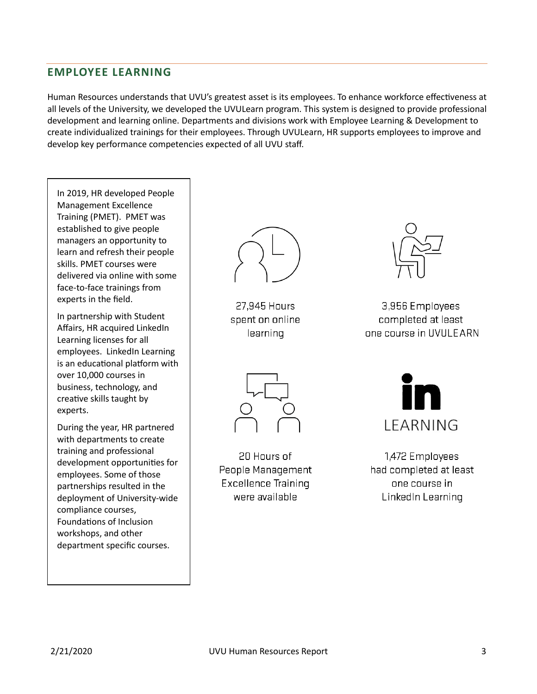## **EMPLOYEE LEARNING**

Human Resources understands that UVU's greatest asset is its employees. To enhance workforce effectiveness at all levels of the University, we developed the UVULearn program. This system is designed to provide professional development and learning online. Departments and divisions work with Employee Learning & Development to create individualized trainings for their employees. Through UVULearn, HR supports employees to improve and develop key performance competencies expected of all UVU staff.

In 2019, HR developed People Management Excellence Training (PMET). PMET was established to give people managers an opportunity to learn and refresh their people skills. PMET courses were delivered via online with some face-to-face trainings from experts in the field.

In partnership with Student Affairs, HR acquired LinkedIn Learning licenses for all employees. LinkedIn Learning is an educational platform with over 10,000 courses in business, technology, and creative skills taught by experts.

During the year, HR partnered with departments to create training and professional development opportunities for employees. Some of those partnerships resulted in the deployment of University-wide compliance courses, Foundations of Inclusion workshops, and other department specific courses.



27.945 Hours spent on online learning



3,956 Employees completed at least one course in UVULEARN



20 Hours of People Management **Excellence Training** were available



1,472 Employees had completed at least one course in LinkedIn Learning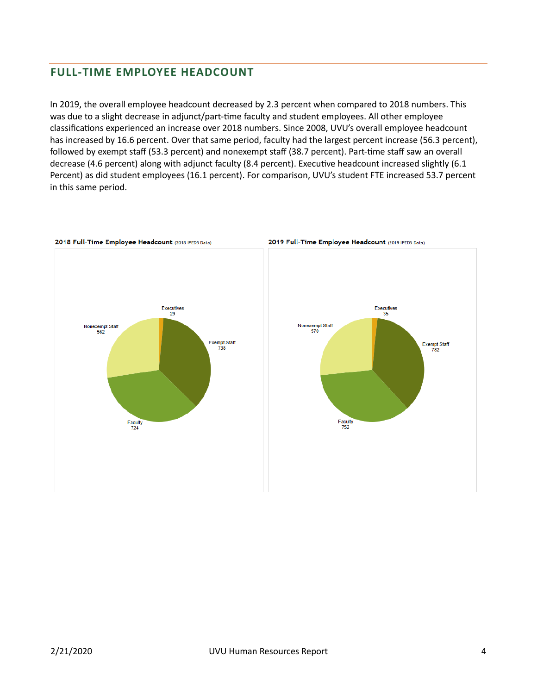## **FULL-TIME EMPLOYEE HEADCOUNT**

In 2019, the overall employee headcount decreased by 2.3 percent when compared to 2018 numbers. This was due to a slight decrease in adjunct/part-time faculty and student employees. All other employee classifications experienced an increase over 2018 numbers. Since 2008, UVU's overall employee headcount has increased by 16.6 percent. Over that same period, faculty had the largest percent increase (56.3 percent), followed by exempt staff (53.3 percent) and nonexempt staff (38.7 percent). Part-time staff saw an overall decrease (4.6 percent) along with adjunct faculty (8.4 percent). Executive headcount increased slightly (6.1 Percent) as did student employees (16.1 percent). For comparison, UVU's student FTE increased 53.7 percent in this same period.

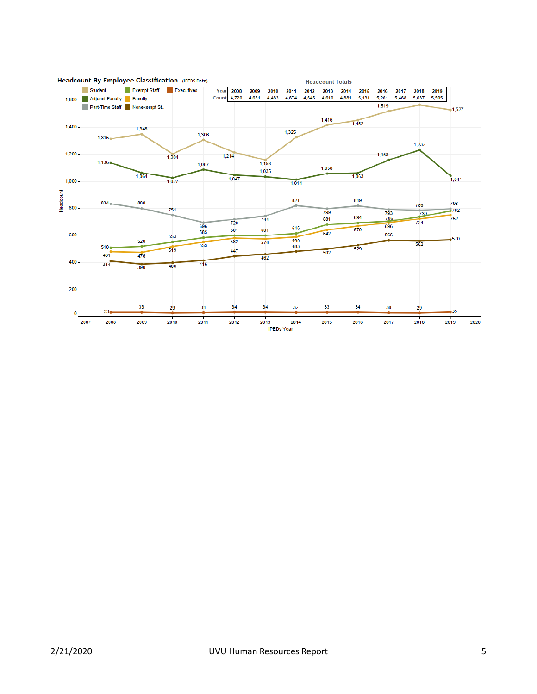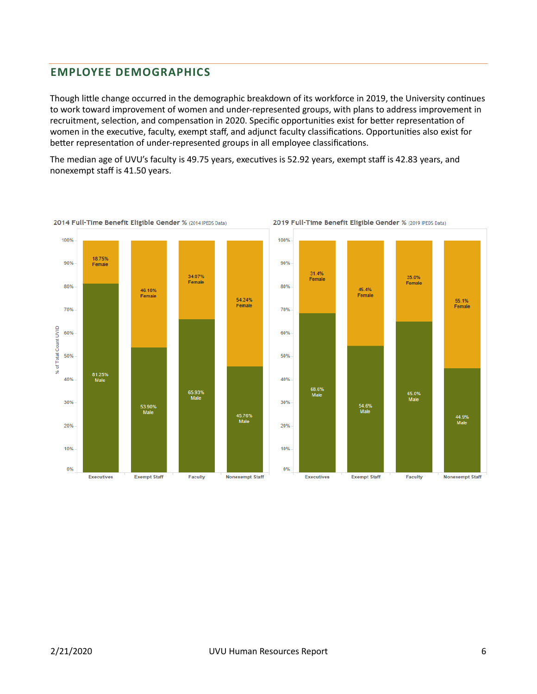## **EMPLOYEE DEMOGRAPHICS**

Though little change occurred in the demographic breakdown of its workforce in 2019, the University continues to work toward improvement of women and under-represented groups, with plans to address improvement in recruitment, selection, and compensation in 2020. Specific opportunities exist for better representation of women in the executive, faculty, exempt staff, and adjunct faculty classifications. Opportunities also exist for better representation of under-represented groups in all employee classifications.

The median age of UVU's faculty is 49.75 years, executives is 52.92 years, exempt staff is 42.83 years, and nonexempt staff is 41.50 years.







35.0%<br>Female

65.0%<br>Male

Faculty

55.1%<br>Female

44.9%<br>Male

**Nonexempt Staff**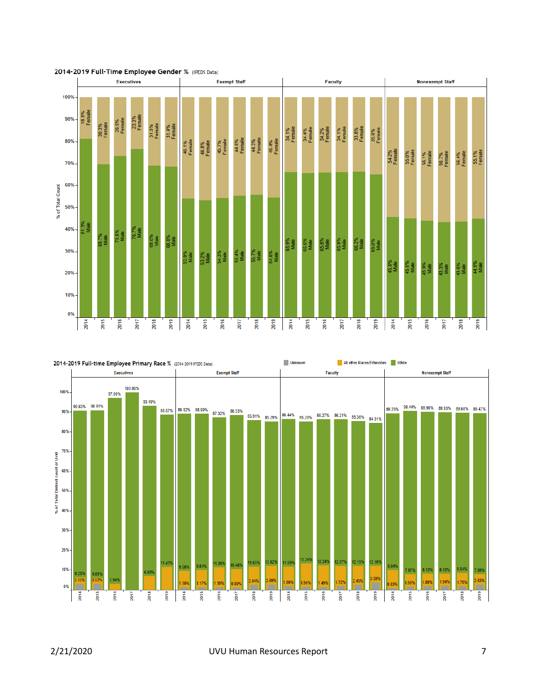



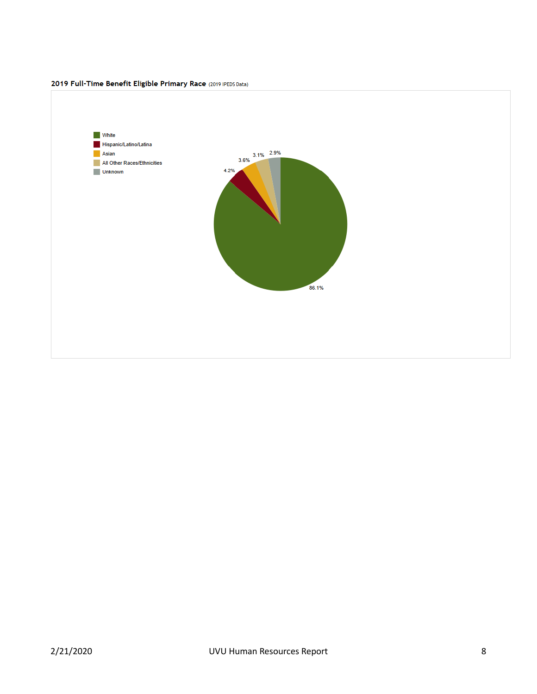

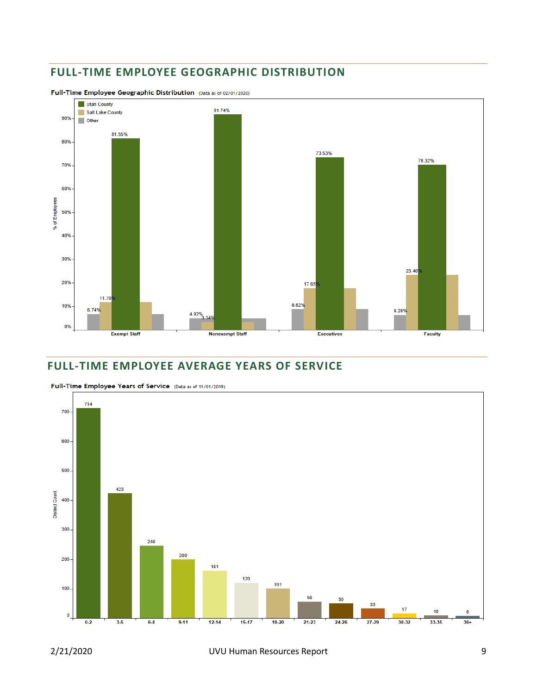# **FULL-TIME EMPLOYEE GEOGRAPHIC DISTRIBUTION**



Full-Time Employee Geographic Distribution (Data as of 02/01/2020)

#### **FULL-TIME EMPLOYEE AVERAGE YEARS OF SERVICE**



Full-Time Employee Years of Service (Data as of 11/01/2019)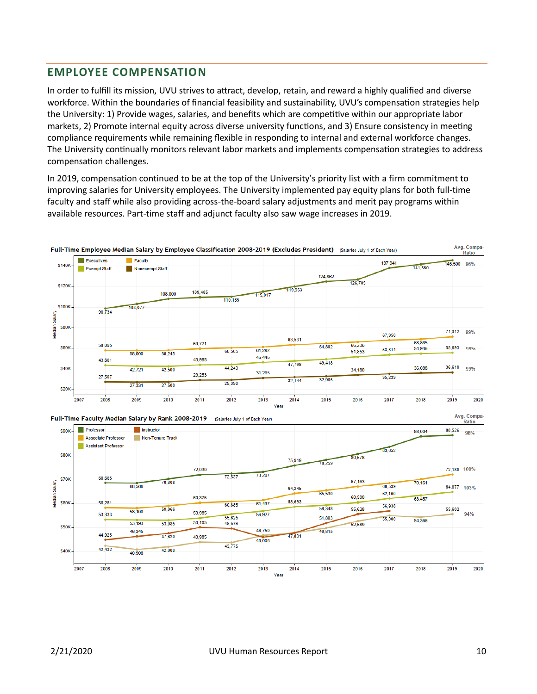#### **EMPLOYEE COMPENSATION**

In order to fulfill its mission, UVU strives to attract, develop, retain, and reward a highly qualified and diverse workforce. Within the boundaries of financial feasibility and sustainability, UVU's compensation strategies help the University: 1) Provide wages, salaries, and benefits which are competitive within our appropriate labor markets, 2) Promote internal equity across diverse university functions, and 3) Ensure consistency in meeting compliance requirements while remaining flexible in responding to internal and external workforce changes. The University continually monitors relevant labor markets and implements compensation strategies to address compensation challenges.

In 2019, compensation continued to be at the top of the University's priority list with a firm commitment to improving salaries for University employees. The University implemented pay equity plans for both full-time faculty and staff while also providing across-the-board salary adjustments and merit pay programs within available resources. Part-time staff and adjunct faculty also saw wage increases in 2019.





Yea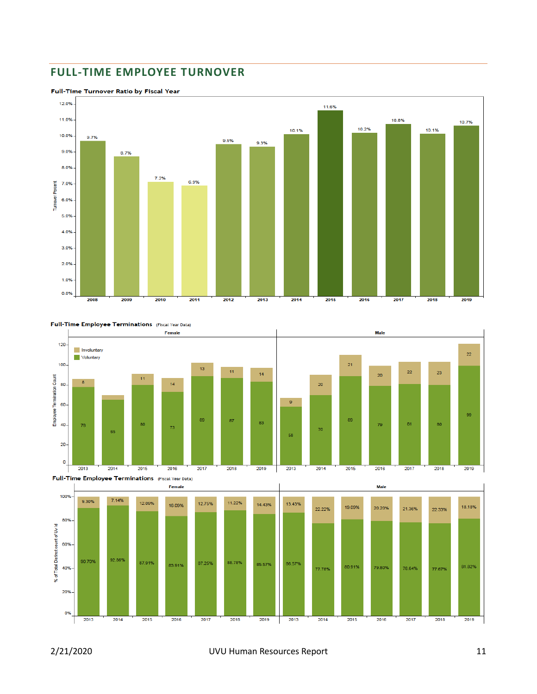## **FULL-TIME EMPLOYEE TURNOVER**



Full-Time Turnover Ratio by Fiscal Year



Full-Time Employee Terminations (Fiscal Year Data)